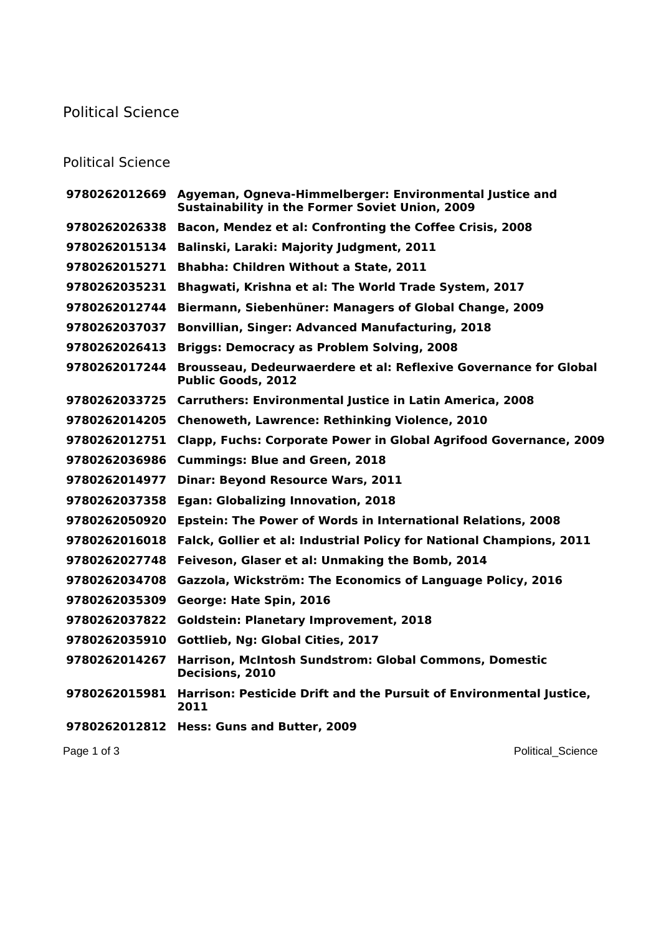## Political Science

## Political Science

|               | 9780262012669 Agyeman, Ogneva-Himmelberger: Environmental Justice and<br><b>Sustainability in the Former Soviet Union, 2009</b> |
|---------------|---------------------------------------------------------------------------------------------------------------------------------|
| 9780262026338 | Bacon, Mendez et al: Confronting the Coffee Crisis, 2008                                                                        |
| 9780262015134 | Balinski, Laraki: Majority Judgment, 2011                                                                                       |
| 9780262015271 | Bhabha: Children Without a State, 2011                                                                                          |
| 9780262035231 | Bhagwati, Krishna et al: The World Trade System, 2017                                                                           |
| 9780262012744 | Biermann, Siebenhüner: Managers of Global Change, 2009                                                                          |
| 9780262037037 | <b>Bonvillian, Singer: Advanced Manufacturing, 2018</b>                                                                         |
| 9780262026413 | <b>Briggs: Democracy as Problem Solving, 2008</b>                                                                               |
| 9780262017244 | Brousseau, Dedeurwaerdere et al: Reflexive Governance for Global<br><b>Public Goods, 2012</b>                                   |
| 9780262033725 | <b>Carruthers: Environmental Justice in Latin America, 2008</b>                                                                 |
| 9780262014205 | <b>Chenoweth, Lawrence: Rethinking Violence, 2010</b>                                                                           |
| 9780262012751 | <b>Clapp, Fuchs: Corporate Power in Global Agrifood Governance, 2009</b>                                                        |
| 9780262036986 | <b>Cummings: Blue and Green, 2018</b>                                                                                           |
| 9780262014977 | <b>Dinar: Beyond Resource Wars, 2011</b>                                                                                        |
| 9780262037358 | <b>Egan: Globalizing Innovation, 2018</b>                                                                                       |
| 9780262050920 | Epstein: The Power of Words in International Relations, 2008                                                                    |
| 9780262016018 | Falck, Gollier et al: Industrial Policy for National Champions, 2011                                                            |
| 9780262027748 | Feiveson, Glaser et al: Unmaking the Bomb, 2014                                                                                 |
| 9780262034708 | Gazzola, Wickström: The Economics of Language Policy, 2016                                                                      |
| 9780262035309 | George: Hate Spin, 2016                                                                                                         |
| 9780262037822 | <b>Goldstein: Planetary Improvement, 2018</b>                                                                                   |
| 9780262035910 | Gottlieb, Ng: Global Cities, 2017                                                                                               |
| 9780262014267 | Harrison, McIntosh Sundstrom: Global Commons, Domestic<br>Decisions, 2010                                                       |
| 9780262015981 | Harrison: Pesticide Drift and the Pursuit of Environmental Justice,<br>2011                                                     |
|               | 9780262012812 Hess: Guns and Butter, 2009                                                                                       |
| Page 1 of 3   | <b>Political Science</b>                                                                                                        |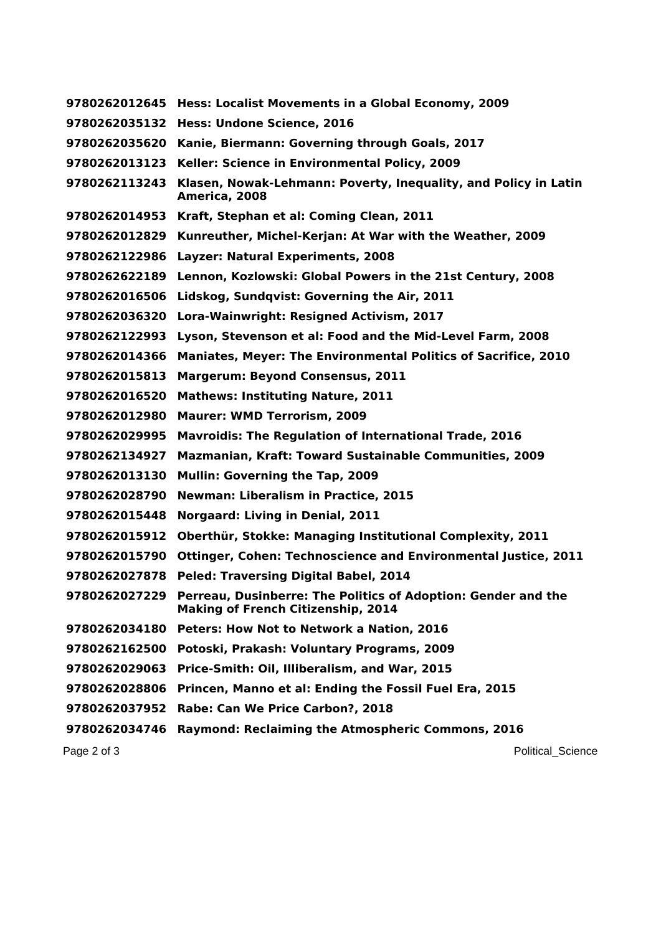|               | 9780262012645 Hess: Localist Movements in a Global Economy, 2009                                                         |
|---------------|--------------------------------------------------------------------------------------------------------------------------|
| 9780262035132 | Hess: Undone Science, 2016                                                                                               |
| 9780262035620 | Kanie, Biermann: Governing through Goals, 2017                                                                           |
| 9780262013123 | Keller: Science in Environmental Policy, 2009                                                                            |
| 9780262113243 | Klasen, Nowak-Lehmann: Poverty, Inequality, and Policy in Latin<br>America, 2008                                         |
| 9780262014953 | Kraft, Stephan et al: Coming Clean, 2011                                                                                 |
| 9780262012829 | Kunreuther, Michel-Kerjan: At War with the Weather, 2009                                                                 |
| 9780262122986 | <b>Layzer: Natural Experiments, 2008</b>                                                                                 |
| 9780262622189 | Lennon, Kozlowski: Global Powers in the 21st Century, 2008                                                               |
| 9780262016506 | Lidskog, Sundqvist: Governing the Air, 2011                                                                              |
| 9780262036320 | Lora-Wainwright: Resigned Activism, 2017                                                                                 |
| 9780262122993 | Lyson, Stevenson et al: Food and the Mid-Level Farm, 2008                                                                |
| 9780262014366 | <b>Maniates, Meyer: The Environmental Politics of Sacrifice, 2010</b>                                                    |
| 9780262015813 | Margerum: Beyond Consensus, 2011                                                                                         |
| 9780262016520 | <b>Mathews: Instituting Nature, 2011</b>                                                                                 |
| 9780262012980 | <b>Maurer: WMD Terrorism, 2009</b>                                                                                       |
| 9780262029995 | <b>Mavroidis: The Regulation of International Trade, 2016</b>                                                            |
| 9780262134927 | <b>Mazmanian, Kraft: Toward Sustainable Communities, 2009</b>                                                            |
| 9780262013130 | <b>Mullin: Governing the Tap, 2009</b>                                                                                   |
| 9780262028790 | <b>Newman: Liberalism in Practice, 2015</b>                                                                              |
| 9780262015448 | <b>Norgaard: Living in Denial, 2011</b>                                                                                  |
| 9780262015912 | Oberthür, Stokke: Managing Institutional Complexity, 2011                                                                |
| 9780262015790 | <b>Ottinger, Cohen: Technoscience and Environmental Justice, 2011</b>                                                    |
| 9780262027878 | <b>Peled: Traversing Digital Babel, 2014</b>                                                                             |
|               | 9780262027229 Perreau, Dusinberre: The Politics of Adoption: Gender and the<br><b>Making of French Citizenship, 2014</b> |
| 9780262034180 | Peters: How Not to Network a Nation, 2016                                                                                |
| 9780262162500 | Potoski, Prakash: Voluntary Programs, 2009                                                                               |
| 9780262029063 | Price-Smith: Oil, Illiberalism, and War, 2015                                                                            |
| 9780262028806 | Princen, Manno et al: Ending the Fossil Fuel Era, 2015                                                                   |
| 9780262037952 | Rabe: Can We Price Carbon?, 2018                                                                                         |
| 9780262034746 | <b>Raymond: Reclaiming the Atmospheric Commons, 2016</b>                                                                 |
|               |                                                                                                                          |

Page 2 of 3 Political\_Science Political\_Science